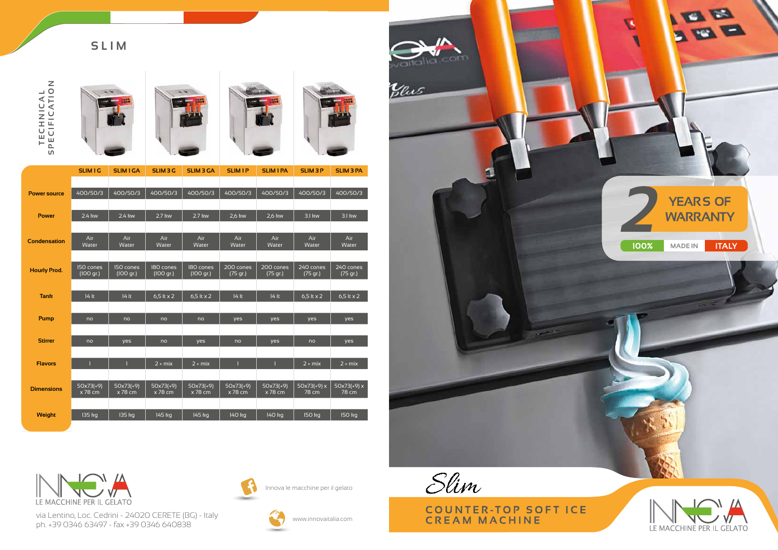via Lentino, Loc. Cedrini - 24020 CERETE (BG) - Italy ph. +39 0346 63497 - fax +39 0346 640838



Innova le macchine per il gelato



www.innovaitalia.com

# **SLIM**















|                     | <b>SLIM1G</b>          | <b>SLIM1GA</b>           | <b>SLIM 3 G</b>          | <b>SLIM 3 GA</b>         | <b>SLIM1P</b>            | <b>SLIM 1 PA</b>       | <b>SLIM 3 P</b>       | <b>SLIM 3 PA</b>        |
|---------------------|------------------------|--------------------------|--------------------------|--------------------------|--------------------------|------------------------|-----------------------|-------------------------|
|                     |                        |                          |                          |                          |                          |                        |                       |                         |
| <b>Power source</b> | 400/50/3               | 400/50/3                 | 400/50/3                 | 400/50/3                 | 400/50/3                 | 400/50/3               | 400/50/3              | 400/50/3                |
|                     |                        |                          |                          |                          |                          |                        |                       |                         |
| <b>Power</b>        | 2.4 kw                 | 2.4 kw                   | 2.7 kw                   | 2.7 kw                   | 2,6 kw                   | 2,6 kw                 | 3.1 kw                | 3.1 kw                  |
|                     |                        |                          |                          |                          |                          |                        |                       |                         |
| <b>Condensation</b> | Air<br>Water           | Air<br>Water             | Air<br>Water             | Air<br>Water             | Air<br>Water             | Air<br>Water           | Air<br>Water          | Air<br>Water            |
|                     |                        |                          |                          |                          |                          |                        |                       |                         |
| <b>Hourly Prod.</b> | 150 cones              | 150 cones                | 180 cones                | 180 cones                | 200 cones                | 200 cones              | 240 cones             | 240 cones               |
|                     | (100 gr.)              | (100 gr.)                | (100 gr.)                | (100 gr.)                | (75 gr.)                 | (75 gr.)               | (75 gr.)              | (75 gr.)                |
| <b>Tank</b>         | 14 lt                  | 14 lt                    | $6,5$ lt x 2             | 6,5 lt x 2               | 14 lt                    | 14 lt                  | $6,5$ lt x 2          | 6,5 lt $\times$ 2       |
|                     |                        |                          |                          |                          |                          |                        |                       |                         |
| <b>Pump</b>         | no                     | no                       | no                       | no                       | yes                      | yes                    | yes                   | yes                     |
|                     |                        |                          |                          |                          |                          |                        |                       |                         |
| <b>Stirrer</b>      | no                     | yes                      | no                       | yes                      | no                       | yes                    | no                    | yes                     |
|                     |                        |                          |                          |                          |                          |                        |                       |                         |
| <b>Flavors</b>      | $\mathbf{1}$           | $\mathbf{1}$             | $\sqrt{2 + \text{mix}}$  | $2 + mix$                | $\mathbf{1}$             | $\mathbf{1}$           | $2 + mix$             | $\sqrt{2 + \text{mix}}$ |
|                     |                        |                          |                          |                          |                          |                        |                       |                         |
| <b>Dimensions</b>   | $50x73(+9)$<br>x 78 cm | $50x73(+9)$<br>$x 78$ cm | $50x73(+9)$<br>$x$ 78 cm | $50x73(+9)$<br>$x$ 78 cm | $50x73(+9)$<br>$x$ 78 cm | $50x73(+9)$<br>x 78 cm | $50x73(+9)x$<br>78 cm | $50x73(+9)x$<br>78 cm   |
|                     |                        |                          |                          |                          |                          |                        |                       |                         |
| Weight              | 135 kg                 | 135 kg                   | 145 kg                   | 145 kg                   | 140 kg                   | 140 kg                 | 150 kg                | 150 kg                  |
|                     |                        |                          |                          |                          |                          |                        |                       |                         |